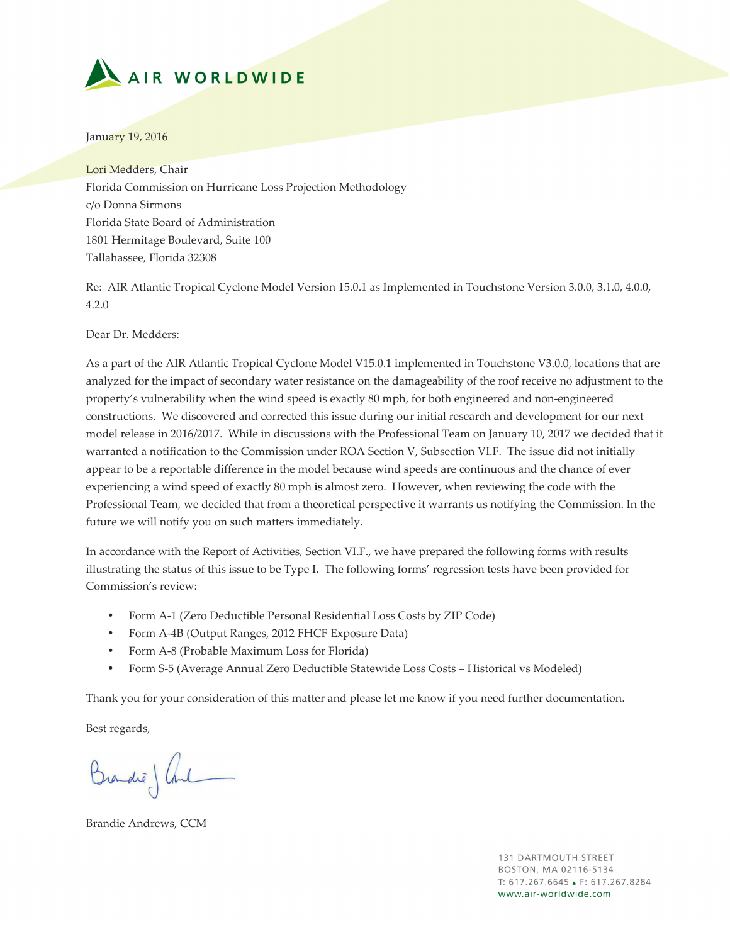

January 19, 2016

Lori Medders, Chair Florida Commission on Hurricane Loss Projection Methodology c/o Donna Sirmons Florida State Board of Administration 1801 Hermitage Boulevard, Suite 100 Tallahassee, Florida 32308

Re: AIR Atlantic Tropical Cyclone Model Version 15.0.1 as Implemented in Touchstone Version 3.0.0, 3.1.0, 4.0.0, 4.2.0

Dear Dr. Medders:

As a part of the AIR Atlantic Tropical Cyclone Model V15.0.1 implemented in Touchstone V3.0.0, locations that are analyzed for the impact of secondary water resistance on the damageability of the roof receive no adjustment to the property's vulnerability when the wind speed is exactly 80 mph, for both engineered and non-engineered constructions. We discovered and corrected this issue during our initial research and development for our next model release in 2016/2017. While in discussions with the Professional Team on January 10, 2017 we decided that it warranted a notification to the Commission under ROA Section V, Subsection VI.F. The issue did not initially appear to be a reportable difference in the model because wind speeds are continuous and the chance of ever experiencing a wind speed of exactly 80 mph is almost zero. However, when reviewing the code with the Professional Team, we decided that from a theoretical perspective it warrants us notifying the Commission. In the future we will notify you on such matters immediately.

In accordance with the Report of Activities, Section VI.F., we have prepared the following forms with results illustrating the status of this issue to be Type I. The following forms' regression tests have been provided for Commission's review:

- Form A-1 (Zero Deductible Personal Residential Loss Costs by ZIP Code)
- Form A-4B (Output Ranges, 2012 FHCF Exposure Data)
- Form A-8 (Probable Maximum Loss for Florida)
- Form S-5 (Average Annual Zero Deductible Statewide Loss Costs Historical vs Modeled)

Thank you for your consideration of this matter and please let me know if you need further documentation.

Best regards,

Brandie) Cont

Brandie Andrews, CCM

**131 DARTMOUTH STREET** BOSTON, MA 02116-5134  $T: 617.267.6645 \rightarrow F: 617.267.8284$ www.air-worldwide.com